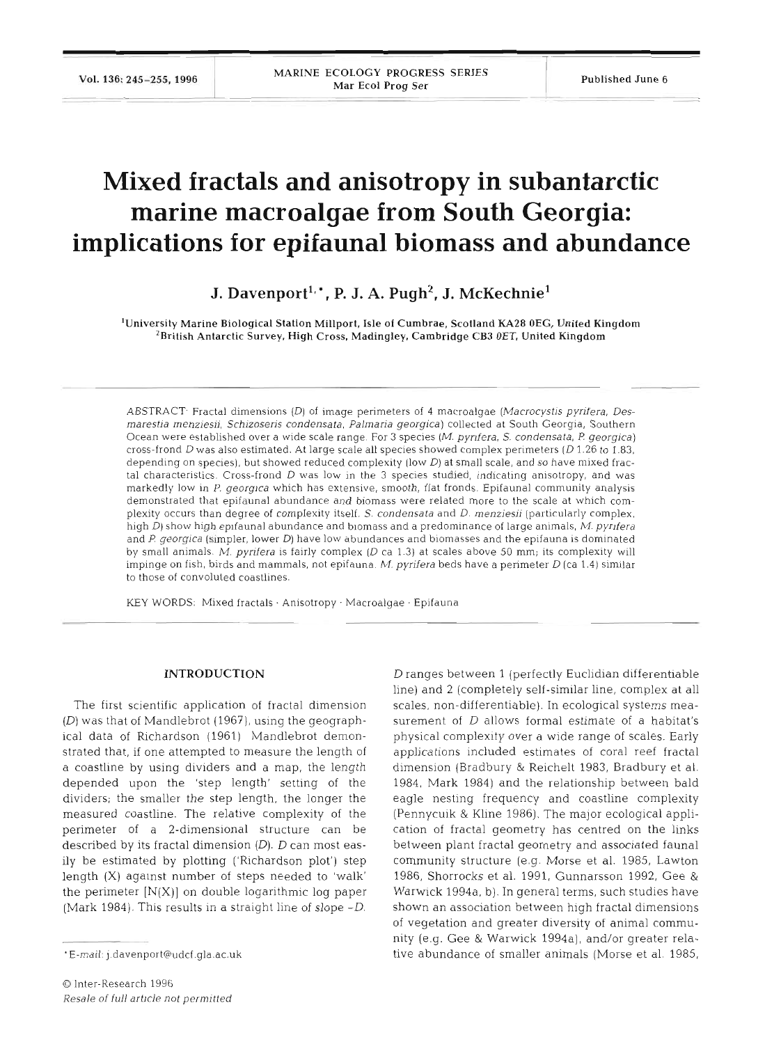Vol. 136: 245-255, 1996

# **Mixed fractals and anisotropy in subantarctic marine macroalgae from South Georgia: implications for epifaunal biomass and abundance**

J. Davenport<sup>1,\*</sup>, P. J. A. Pugh<sup>2</sup>, J. McKechnie<sup>1</sup>

'University Marine Biological Station Millport, Isle of Cumbrae, Scotland **KA28** OEG, United Kingdom 'British Antarctic Survey, High Cross, Madingley, Cambridge CB3 OET, United Kingdom

ABSTRACT- Fractal dimensions **(D)** of image perimeters of 4 macroalgae (Macrocystis pyrifera, Desmarestia menziesii, Schizoseris condensata, Palmaria georgica) collected at South Georgia, Southern Ocean were established over a wide scale range. For 3 species (M. pyrifera, S. condensata, P. georgica) cross-frond D was also estimated. At large scale all species showed complex perimeters (D 1.26 to 1.83, depending on species), but showed reduced complexity (low  $D$ ) at small scale, and so have mixed fractal characteristics. Cross-frond **D** was low in the 3 species studied, indicating anisotropy, and was markedly low in P. georgica which has extensive, smooth, flat fronds. Epifaunal community analysis demonstrated that epifaunal abundance and biomass were related more to the scale at which complexity occurs than degree of complexity itself. S. condensata and  $D$ . menziesii (particularly complex, high **D)** show high epifaunal abundance and biomass and a predominance of large animals, M. pyrlfera and P. georgica (simpler, lower **D)** have low abundances and biomasses and the epifauna is dominated by small animals. M. pyrifera is fairly complex  $(D \text{ ca } 1.3)$  at scales above 50 mm; its complexity will impinge on fish, birds and mammals, not epifauna. M. pyrifera beds have a perimeter  $D$  (ca 1.4) similar to those of convoluted coastlines.

KEY WORDS: Mixed fractals · Anisotropy · Macroalgae · Epifauna

## **INTRODUCTION**

The first scientific application of fractal dimension (D) was that of Mandlebrot (1967), using the geographical data of Richardson (1961) Mandlebrot demonstrated that, if one attempted to measure the length of a coastline by using dividers and a map, the length depended upon the 'step length' setting of the dividers; the smaller the step length, the longer the measured coastline. The relative complexity of the perimeter of a 2-dimensional structure can be described by its fractal dimension  $(D)$ .  $D$  can most easily be estimated by plotting ('Richardson plot') step length (X) against number of steps needed to 'walk' the perimeter  $[N(X)]$  on double logarithmic log paper (Mark 1984). This results in a straight line of slope -D.

D ranges between 1 (perfectly Euclidian differentiable line) and 2 (completely self-similar line, complex at all scales, non-differentiable). In ecological systems measurement of D allows formal estimate of a habitat's physical complexity over a wide range of scales. Early applications included estimates of coral reef fractal dimension (Bradbury & Reichelt 1983, Bradbury et al. 1984, Mark 1984) and the relationship between bald eagle nesting frequency and coastline complexity (Pennycuik & Kline 1986). The major ecological application of fractal geometry has centred on the links between plant fractal geometry and associated fauna1 community structure (e.g. Morse et al. 1985, Lawton 1986, Shorrocks et al. 1991, Gunnarsson 1992, Gee & Warwick 1994a. b). In general terms, such studies have shown an association between high fractal dimensions of vegetation and greater diversity of animal community (e.g. Gee & Warwick 1994a), and/or greater relative abundance of smaller animals (Morse et al. 1985,

<sup>\*</sup>E-mail: j.davenport@udcf.gla.ac.uk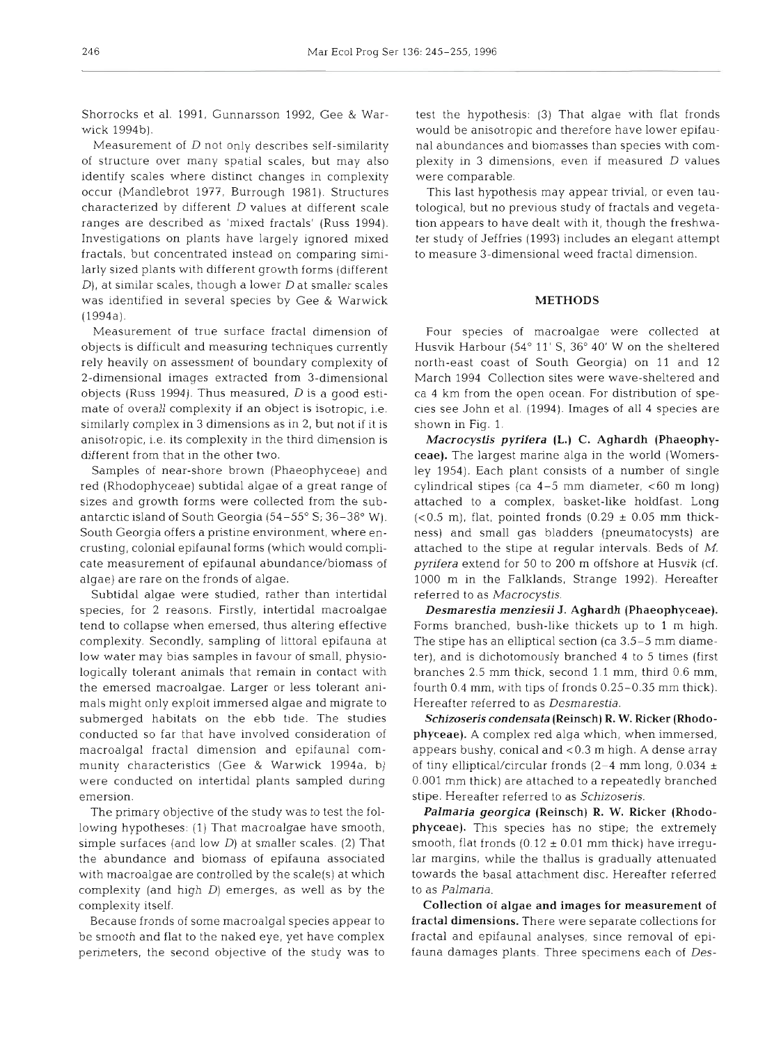Shorrocks et al. 1991, Gunnarsson 1992, Gee & Warwick 1994b).

Measurement of D not only describes self-similarity of structure over many spatial scales, but may also identify scales where distinct changes in complexity occur (Mandlebrot 1977, Burrough 1981). Structures characterized by different D values at different scale ranges are described as 'mixed fractals' (Russ 1994). Investigations on plants have largely ignored mixed fractals, but concentrated instead on comparing similarly sized plants with different growth forms (different  $D$ ), at similar scales, though a lower  $D$  at smaller scales was identified in several species by Gee & Warwick (1994a).

Measurement of true surface fractal dimension of objects is difficult and measuring techniques currently rely heavily on assessment of boundary complexity of 2-dimensional images extracted from 3-dimensional objects (Russ 1994). Thus measured,  $D$  is a good estimate of overall complexity if an object is isotropic, i.e. similarly complex in **3** dimensions as in 2, but not if it is anisotropic, i.e. its complexity in the third dimension is different from that in the other two.

Samples of near-shore brown (Phaeophyceae) and red (Rhodophyceae) subtidal algae of a great range of sizes and growth forms were collected from the subantarctic island of South Georgia (54-55" S; 36-38' W). South Georgia offers a pristine environment, where encrusting, colonial epifaunal forms (which would complicate measurement of epifaunal abundance/biomass of algae) are rare on the fronds of algae.

Subtidal algae were studied, rather than intertidal species, for 2 reasons. Firstly, intertidal macroalgae tend to collapse when emersed, thus altering effective complexity. Secondly, sampling of littoral epifauna at low water may bias samples in favour of small, physiologically tolerant animals that remain in contact with the emersed macroalgae. Larger or less tolerant animals might only exploit immersed algae and migrate to submerged habitats on the ebb tide. The studies conducted so far that have involved consideration of macroalgal fractal dimension and epifaunal community characteristics (Gee & Warwick 1994a, b) were conducted on intertidal plants sampled during emersion.

The primary objective of the study was to test the following hypotheses: (1) That macroalgae have smooth, simple surfaces (and low  $D$ ) at smaller scales. (2) That the abundance and biomass of epifauna associated with macroalgae are controlled by the scale(s) at which complexity (and high D) emerges, as well as by the complexity itself.

Because fronds of some macroalgal species appear to be smooth and flat to the naked eye, yet have complex perimeters, the second objective of the study was to

test the hypothesis: (3) That algae with flat fronds would be anisotropic and therefore have lower epifaunal abundances and biomasses than species with complexity in 3 dimensions, even if measured D values were comparable.

This last hypothesis may appear trivial, or even tautological, but no previous study of fractals and vegetation appears to have dealt with it, though the freshwater study of Jeffries (1993) includes an elegant attempt to measure 3-dimensional weed fractal dimension.

### **METHODS**

Four species of macroalgae were collected at Husvik Harbour (54° 11′ S, 36° 40′ W on the sheltered north-east coast of South Georgia) on 11 and 12 March 1994 Collection sites were wave-sheltered and ca 4 km from the open ocean. For distribution of species see John et al. (1994). Images of all 4 species are shown in Fig. 1.

*Macrocystis pyrifera (L.) C.* Aghardh (Phaeophyceae). The largest marine alga in the world (Womersley 1954). Each plant consists of a number of single cylindrical stipes (ca  $4-5$  mm diameter,  $<60$  m long) attached to a complex, basket-like holdfast. Long  $(< 0.5$  m), flat, pointed fronds  $(0.29 \pm 0.05$  mm thickness) and small gas bladders (pneumatocysts) are attached to the stipe at regular intervals. Beds of  $M$ . pyrifera extend for 50 to 200 m offshore at Husvik (cf. 1000 m in the Falklands, Strange 1992). Hereafter referred to as Macrocystis.

*Desmarestia menziesii* J. Aghardh (Phaeophyceae). Forms branched, bush-like thickets up to 1 m high. The stipe has an elliptical section (ca 3.5-5 mm diameter), and is dichotomously branched 4 to 5 times (first branches 2.5 mm thick, second 1.1 mm, third 0.6 mm, fourth 0.4 mm, with tips of fronds 0.25-0.35 mm thick). Hereafter referred to as Desmarestia.

*Schizoseris condensata* (Reinsch) *R. W.* Ricker (Rhodophyceae). **A** complex red alga which, when immersed, appears bushy, conical and <0.3 m high. **A** dense array of tiny elliptical/circular fronds (2–4 mm long, 0.034  $\pm$ 0.001 mm thick) are attached to a repeatedly branched stipe. Hereafter referred to as Schizoseris.

*Palmaria georgica* (Reinsch) *R. W.* Ricker (Rhodophyceae). This species has no stipe; the extremely smooth, flat fronds  $(0.12 \pm 0.01 \text{ mm}$  thick) have irregular margins, while the thallus is gradually attenuated towards the basal attachment disc. Hereafter referred to as *Palmaria.* 

Collection of algae and images for measurement of fractal dimensions. There were separate collections for fractal and epifaunal analyses, since removal of epifauna damages plants. Three specimens each of Des-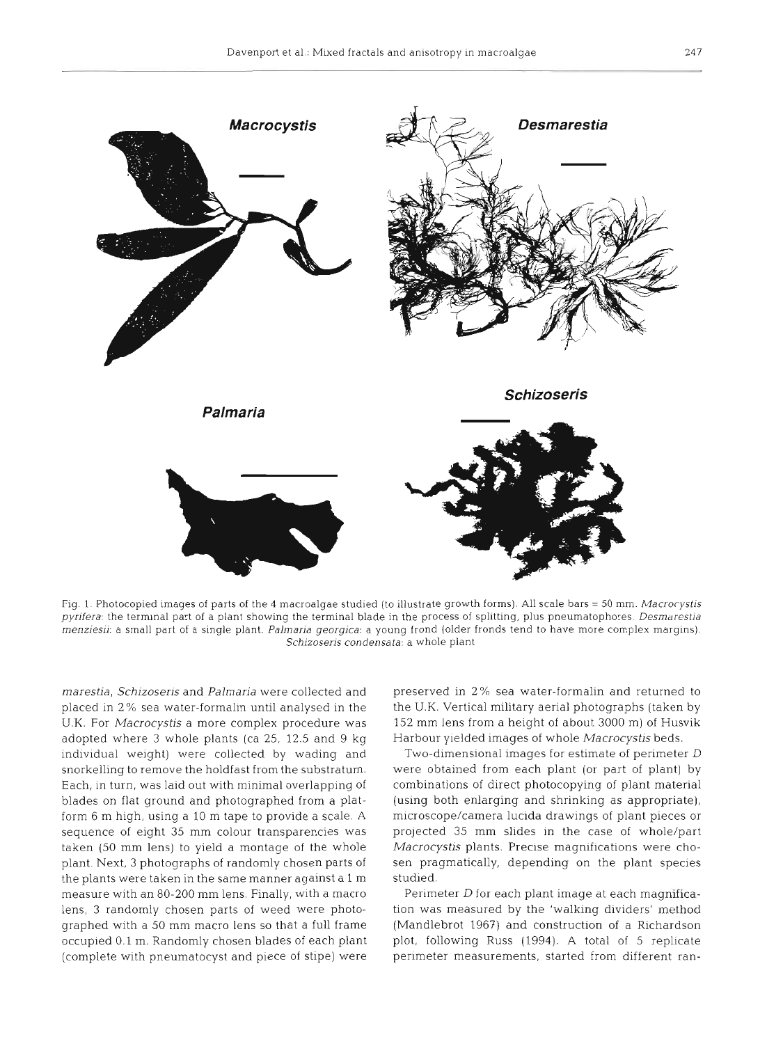

Fig. 1. Photocopied images of parts of the **4** macroalgae studied (to illustrate growth forms). All scale bars = 50 mm. Macrocystis pyrifera: the terminal part of a plant showing the terminal blade in the process of splitting, plus pneumatophores. Desmarestia menziesii: a small part of a single plant. Palmaria georgica: a young frond (older fronds tend to have more complex margins). Schizoseris condensata: a whole plant

*rnarestia, Schizoseris* and *Palmaria* were collected and placed in 2% sea water-formalin until analysed in the U.K. For *Macrocystis* a more complex procedure was adopted where 3 whole plants (ca 25, 12.5 and 9 kg individual weight) were collected by wading and snorkelling to remove the holdfast from the substratum. Each, in turn, was laid out with minimal overlapping of blades on flat ground and photographed from a platform 6 m high, using a 10 m tape to provide a scale. A sequence of eight 35 mm colour transparencies was taken (50 mm lens) to yield a montage of the whole plant. Next, 3 photographs of randomly chosen parts of the plants were taken in the same manner against a 1 m measure with an 80-200 mm lens. Finally, with a macro lens, **3** randomly chosen parts of weed were photographed with a 50 mm macro lens so that a full frame occupied 0.1 m. Randomly chosen blades of each plant (complete with pneumatocyst and piece of stipe) were preserved in 2% sea water-formalin and returned to the U.K. Vertical military aerial photographs (taken by 152 mm lens from a height of about 3000 m) of Husvik Harbour ylelded images of whole *Macrocystis* beds.

Two-dimensional images for estimate of perimeter D were obtained from each plant (or part of plant) by combinations of direct photocopying of plant material (using both enlarging and shrinking as appropriate), microscope/camera lucida drawings of plant pieces or projected 35 mm slides in the case of whole/part *Macrocystis* plants. Precise magnifications were chosen pragmatically, depending on the plant species studied.

Perimeter D for each plant image at each magnification was measured by the 'walking dividers' method (Mandlebrot 1967) and construction of a Richardson plot, following Russ (1994). A total of 5 replicate perimeter measurements, started from different ran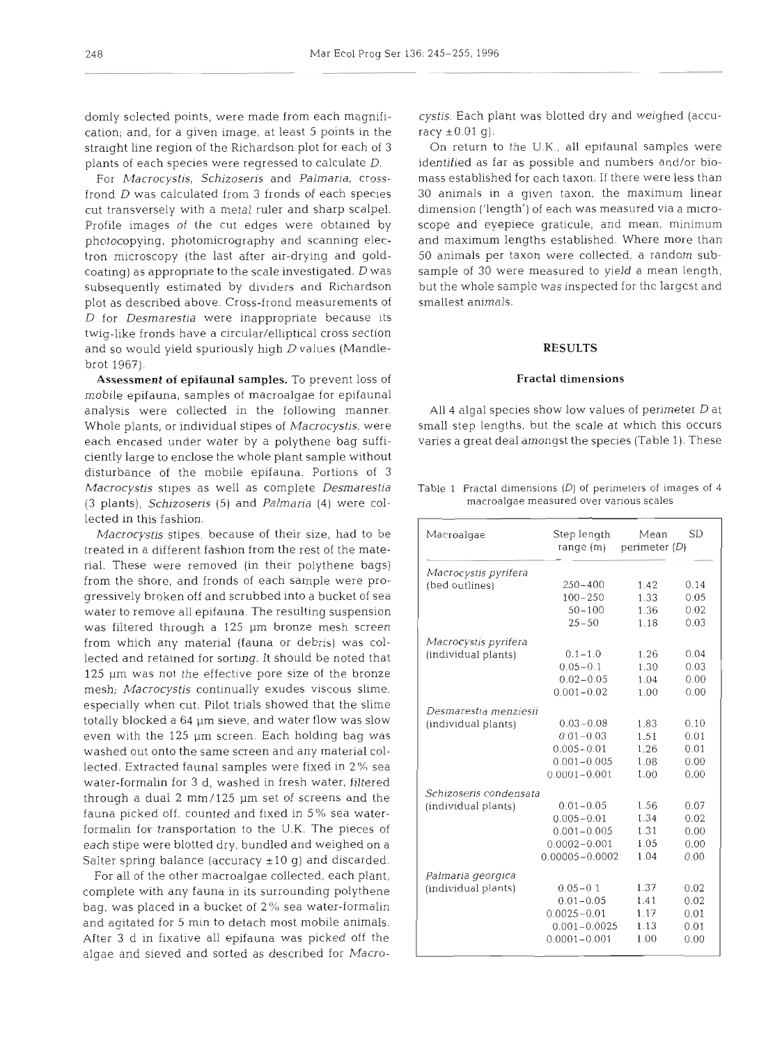cation; and, for a given image, at least 5 points in the racy  $\pm 0.01$  g). straight line region of the Richardson plot for each of 3 plants of each species were regressed to calculate *D.* 

frond *D* was calculated from 3 fronds of each species 30 animals in a given taxon, the maximum linear cut transversely with a metal ruler and sharp scalpel. Profile images of the cut edges were obtained by scope and eyepiece graticule, and mean, minimum photocopying, photomicrography and scanning elec- and maximum lengths established. Where more than tron microscopy (the last after air-drying and gold- 50 animals per taxon were collected, a random subcoating) as appropriate to the scale investigated. D was sample of 30 were measured to yield a mean length, subsequently estimated by dividers and Richardson but the whole sample was inspected for the largest and plot as described above. Cross-frond measurements of *D* for *Desmarestia* were inappropriate because its twig-like fronds have a circular/elliptical cross section and so would yield spuriously high D values (Mandlebrot 1967).

Assessment of epifaunal samples. To prevent loss of mobile epifauna, samples of macroalgae for epifaunal analysis were collected in the following manner. each encased under water by a polythene bag suffi- varies a great deal amongst the species (Table 1). These ciently large to enclose the whole plant sample without disturbance of the mobile epifauna. Portions of 3 *Macrocystis* stipes as well as complete *Desmarestla*  (3 plants), *Schizoseris* (5) and *Palmaria* (4) were collected in this fashion.

*Macrocystis* stipes, because of their size, had to be treated in a different fashion from the rest of the material. These were removed (in their polythene bags) from the shore, and fronds of each sample were progressively broken off and scrubbed into a bucket of sea water to remove all epifauna. The resulting suspension was filtered through a 125 pm bronze mesh screen from which any material (fauna or debris) was collected and retained for sorting. It should be noted that  $125$   $\mu$ m was not the effective pore size of the bronze mesh; Macrocystis continually exudes viscous slime, especially when cut. Pilot trials showed that the slime totally blocked a 64 µm sieve, and water flow was slow even with the 125 pm screen. Each holding bag was washed out onto the same screen and any material collected. Extracted fauna1 samples were fixed in 2 % sea water-formalin for **3** d, washed in fresh water, filtered through a dual 2 mm/125 pm set of screens and the fauna picked off, counted and fixed in 5% sea waterformalin for transportation to the U.K. The pieces of each stipe were blotted dry, bundled and weighed on a Salter spring balance (accuracy  $\pm 10$  g) and discarded.

For all of the other macroalgae collected, each plant, complete with any fauna in its surrounding polythene bag, was placed in a bucket of **2%** sea water-formalin and agitated for 5 min to detach most mobile animals. After 3 d in fixative all epifauna was picked off the algae and sieved and sorted as described for *Macro-*

domly selected points, were made from each magnifi- cystis. Each plant was blotted dry and weighed (accu-

For *Macrocystis, Schizoseris* and *Palmaria,* crosss. Each plant was blotted dry and weighed (accu- $\pm 0.01$  g).<br> $\pm 0.01$  g).<br>Teturn to the U.K., all epifaunal samples were ified as far as possible and numbers and/or bio-<br>established for each taxon. If there were less th

### **RESULTS**

Whole plants, or individual stipes of *Macrocystis,* were Fractal dimensions<br>4 algal species show low values of perimeter  $D$  at<br>1 step lengths, but the scale at which this occurs<br>5 a great deal amongst the species (Table 1). These<br>1 Fractal dimensions  $(D)$  of perimeters of imag

macroalgae measured over various scales

| Macroalgae             | Step length        | Mean          | <b>SD</b> |
|------------------------|--------------------|---------------|-----------|
|                        | range(m)           | perimeter (D) |           |
| Macrocystis pyrifera   |                    |               |           |
| (bed outlines)         | $250 - 400$        | 1.42          | 0.14      |
|                        | $100 - 250$        | 1.33          | 0.05      |
|                        | $50 - 100$         | 1.36          | 0.02      |
|                        | $25 - 50$          | 1.18          | 0.03      |
| Macrocystis pyrifera   |                    |               |           |
| (individual plants)    | $0.1 - 1.0$        | 1.26          | 0.04      |
|                        | $0.05 - 0.1$       | 1.30          | 0.03      |
|                        | $0.02 - 0.05$      | 1.04          | 0.00      |
|                        | $0.001 - 0.02$     | 1.00          | 0.00      |
| Desmarestia menziesii  |                    |               |           |
| (individual plants)    | $0.03 - 0.08$      | 1.83          | 0.10      |
|                        | $0.01 - 0.03$      | 1.51          | 0.01      |
|                        | $0.005 - 0.01$     | 1.26          | 0.01      |
|                        | $0.001 - 0.005$    | 1.08          | 0.00      |
|                        | $0.0001 - 0.001$   | 1.00          | 0.00      |
| Schizoseris condensata |                    |               |           |
| (individual plants)    | $0.01 - 0.05$      | 1.56          | 0.07      |
|                        | $0.005 - 0.01$     | 1.34          | 0.02      |
|                        | $0.001 - 0.005$    | 1.31          | 0.00      |
|                        | $0.0002 - 0.001$   | 1.05          | 0.00      |
|                        | $0.00005 - 0.0002$ | 1.04          | 0.00      |
| Palmaria georgica      |                    |               |           |
| (individual plants)    | $0.05 - 0.1$       | 1.37          | 0.02      |
|                        | $0.01 - 0.05$      | 1.41          | 0.02      |
|                        | $0.0025 - 0.01$    | 1.17          | 0.01      |
|                        | $0.001 - 0.0025$   | 1.13          | 0.01      |
|                        | $0.0001 - 0.001$   | 1.00          | 0.00      |
|                        |                    |               |           |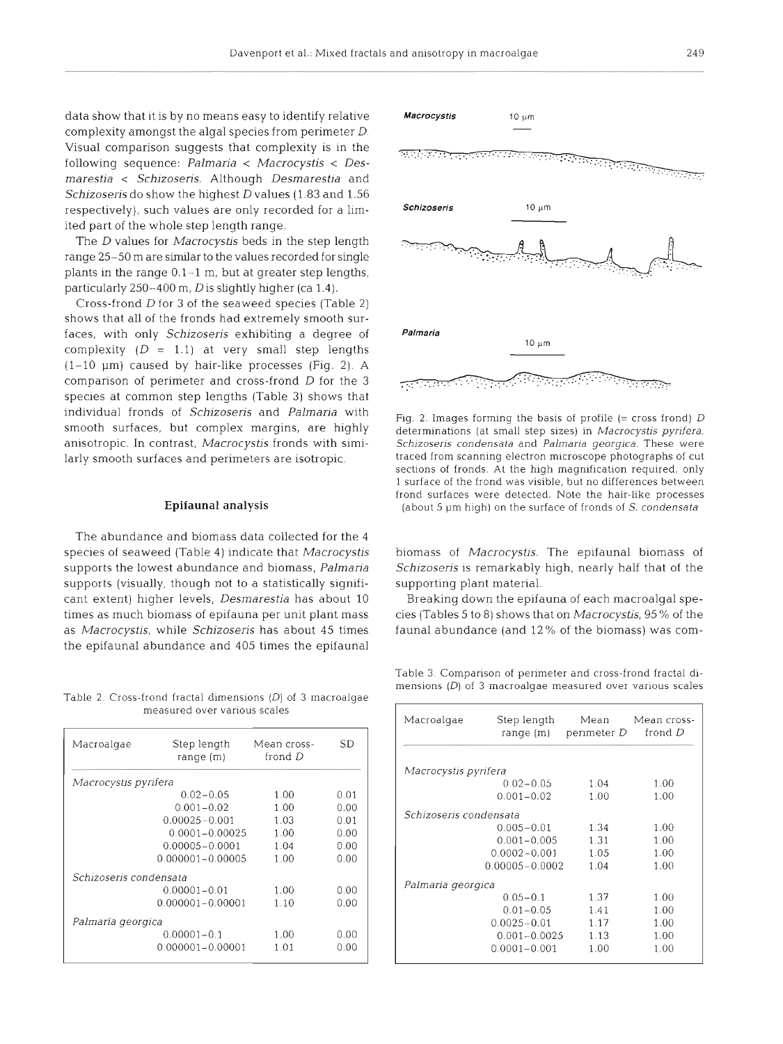data show that it is by no means easy to identify relative complexity amongst the algal species from perimeter  $D$ . Visual comparison suggests that complexity is in the following sequence: Palmaria < Macrocystis < Desmarestia < Schizoseris. Although Desmarestia and Schizoseris do show the highest D values (1.83 and 1.56) respectively), such values are only recorded for a limited part of the whole step length range.

The *D* values for *Macrocystis* beds in the step length range 25-50 m are similar to the values recorded for single plants in the range 0.1-1 m, but at greater step lengths, particularly  $250-400$  m, D is slightly higher (ca 1.4).

Cross-frond D for 3 of the seaweed species (Table 2) shows that all of the fronds had extremely smooth surfaces, with only Schizoseris exhibiting a degree of complexity  $(D = 1.1)$  at very small step lengths  $(1-10 \text{ }\mu\text{m})$  caused by hair-like processes (Fig. 2). A comparison of perimeter and cross-frond D for the 3 species at common step lengths (Table 3) shows that individual fronds of Schizoseris and Palmaria with smooth surfaces, but complex margins, are highly anisotropic. In contrast, Macrocystis fronds with similarly smooth surfaces and perimeters are isotropic.

### **Epifaunal analysis**

The abundance and biomass data collected for the 4 species of seaweed (Table 4) indicate that Macrocystis supports the lowest abundance and biomass, Palmaria supports (visually, though not to a statistically significant extent) higher levels, Desmarestia has about 10 times as much biomass of epifauna per unit plant mass as Macrocystis, while Schizoseris has about 45 times the epifaunal abundance and 405 times the epifaunal

Table 2. Cross-frond fractal dimensions  $(D)$  of 3 macroalgae measured over varlous scales

| Macroalgae             | Step length<br>range(m) | Mean cross-<br>frond D | SD   |
|------------------------|-------------------------|------------------------|------|
| Macrocystis pyrifera   |                         |                        |      |
|                        | $0.02 - 0.05$           | 1.00                   | 0.01 |
|                        | $0.001 - 0.02$          | 1.00                   | 0.00 |
|                        | $0.00025 - 0.001$       | 1.03                   | 0.01 |
|                        | 0.0001-0.00025          | 1.00                   | 0.00 |
|                        | $0.00005 - 0.0001$      | 1.04                   | 0.00 |
|                        | $0.000001 - 0.00005$    | 1.00                   | 0.00 |
| Schizoseris condensata |                         |                        |      |
|                        | $0.00001 - 0.01$        | 1.00                   | 0.00 |
|                        | $0.000001 - 0.00001$    | 1.10                   | 0.00 |
| Palmaría georgica      |                         |                        |      |
|                        | $0.00001 - 0.1$         | 1.00                   | 0.00 |
|                        | $0.000001 - 0.00001$    | 1.01                   | 0.00 |



Fig. 2. Images forming the basis of profile  $(= \text{cross from})$  D determinations (at small step sizes) in Macrocystis pyrifera, Schizoseris condensata and Palmaria georgica. These were traced from scanning electron microscope photographs of cut sections of fronds. At the high magnification required, only 1 surface of the frond was visible, but no differences between frond surfaces were detected. Note the hair-like processes (about 5  $\mu$ m high) on the surface of fronds of S. condensata

biomass of Macrocystis. The epifaunal biomass of Schizoseris is remarkably high, nearly half that of the supporting plant material.

Breaking down the epifauna of each macroalgal species (Tables 5 to 8) shows that on Macrocystis, 95 % of the faunal abundance (and  $12\%$  of the biomass) was com-

Table 3. Comparison of perimeter and cross-frond fractal dimensions  $(D)$  of 3 macroalgae measured over various scales

| Macroalgae             | Step length<br>range (m) | Mean<br>perimeter D | Mean cross-<br>frond D |
|------------------------|--------------------------|---------------------|------------------------|
| Macrocystis pyrifera   |                          |                     |                        |
|                        | $0.02 - 0.05$            | 1.04                | 1.00                   |
|                        | $0.001 - 0.02$           | 1.00                | 1.00                   |
| Schizoseris condensata |                          |                     |                        |
|                        | $0.005 - 0.01$           | 1.34                | 1.00                   |
|                        | $0.001 - 0.005$          | 1.31                | 1.00                   |
|                        | $0.0002 - 0.001$         | 1.05                | 1.00                   |
|                        | $0.00005 - 0.0002$       | 1.04                | 1.00                   |
| Palmaria georgica      |                          |                     |                        |
|                        | $0.05 - 0.1$             | 1.37                | 1.00                   |
|                        | $0.01 - 0.05$            | 1.41                | 1.00                   |
|                        | $0.0025 - 0.01$          | 1.17                | 1.00                   |
|                        | $0.001 - 0.0025$         | 1.13                | 1.00                   |
|                        | $0.0001 - 0.001$         | 1.00                | 1.00                   |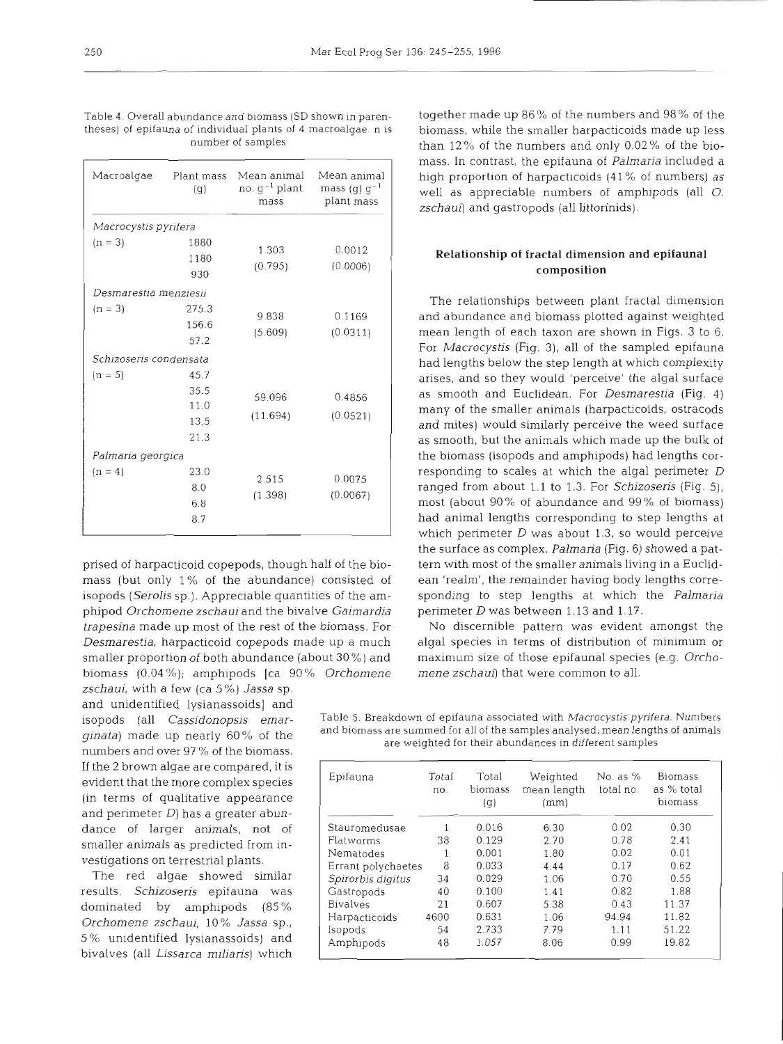Table 4. Overall abundance and biomass (SD shown in paren- together made up 86% of the numbers and 98% of the

| Macroalgae             | Plant mass<br>(g)                    | no. g <sup>-1</sup> plant<br>mass | Mean animal Mean animal<br>mass (g) $g^{-1}$<br>plant mass |
|------------------------|--------------------------------------|-----------------------------------|------------------------------------------------------------|
| Macrocystis pyrifera   |                                      |                                   |                                                            |
| $(n = 3)$              | 1880<br>1180<br>930                  | 1.303<br>(0.795)                  | 0.0012<br>(0.0006)                                         |
| Desmarestia menziesii  |                                      |                                   |                                                            |
| $(n = 3)$              | 275.3<br>156.6<br>57.2               | 9.838<br>(5.609)                  | 0.1169<br>(0.0311)                                         |
| Schizoseris condensata |                                      |                                   |                                                            |
| $(n = 5)$              | 45.7<br>35.5<br>11.0<br>13.5<br>21.3 | 59.096<br>(11.694)                | 0.4856<br>(0.0521)                                         |
| Palmaria georgica      |                                      |                                   |                                                            |
| $(n = 4)$              | 23.0<br>8.0<br>6.8<br>8.7            | 2.515<br>(1.398)                  | 0.0075<br>(0.0067)                                         |

prised of harpacticoid copepods, though half of the biomass (but only 1% of the abundance) consisted of isopods *(Serolis* sp.). Appreciable quantities of the amphipod *Orchomene zschaui* and the bivalve *Gaimardia trapesina* made up most of the rest of the biomass. For *Desmarestia,* harpacticoid copepods made up a much smaller proportion of both abundance (about 30%) and biomass (0.04 %); amphipods [ca 90 % *Orchomene* 

zschaui, with a few (ca 5%) *Jassa* sp. and unidentified lysianassoids] and If the 2 brown algae are compared, it is evident that the more complex species (in terms of qualitative appearance and perimeter *D)* has a greater abundance of larger animals, not of smaller animals as predicted from investigations on terrestrial plants.

The red algae showed similar results. *Schizoseris* epifauna was dominated by amphipods (85 % *Orchomene zschaui,* 10% *Jassa* sp., 5 % unidentified lysianassoids) and bivalves (all *Lissarca miliaris)* which

theses) of epifauna of individual plants of 4 macroalgae. n is biomass, while the smaller harpacticoids made up less<br>than 12% of the numbers and only 0.02% of the biothan  $12\%$  of the numbers and only 0.02% of the biomass. In contrast, the eplfauna of *Palmaria* included a high proportion of harpacticoids (41 % of numbers) as well as appreciable numbers of amphipods (all 0. *zschaui]* and gastropods (all littorinids).

## **Relationship of fractal dimension and epifaunal composition**

The relationships between plant fractal dimension and abundance and biomass plotted against weighted mean length of each taxon are shown in Figs. 3 to 6. For *Macrocystis* (Fig. **3),** all of the sampled epifauna had lengths below the step length at which complexity arises, and so they would 'perceive' the algal surface as smooth and Euclidean. For *Desmarestia* (Fig. 4) many of the smaller animals (harpacticoids, ostracods and mites) would similarly perceive the weed surface as smooth, but the animals which made up the bulk of the biomass (isopods and amphipods) had lengths corresponding to scales at which the algal perimeter D ranged from about 1.1 to 1.3. For *Schizoseris* (Fig. 5), most (about 90 % of abundance and 99 % of biomass) had animal lengths corresponding to step lengths at which perimeter  $D$  was about 1.3, so would perceive the surface as complex. *Palmaria* (Fig. 6) showed a pattern with most of the smaller animals living in a Euclidean 'realm', the remainder having body lengths corresponding to step lengths at which the *Palmaria*  perimeter D was between 1.13 and 1.17.

No discernible pattern was evident amongst the algal species in terms of distribution of minimum or maximum size of those epifaunal species (e.g. *Orchomene zschaui]* that were common to all.

isopods (all *Cassjdonopsjs emar-* Table 5. Breakdown of epifauna associated wlth Macrocystis pyrifera. Numbers *ginata*) made up nearly 60% of the and biomass are summed for all of the samples analysed; mean lengths of animals are weighted for their abundances in different samples numbers and over 97% of the biomass.

| Epifauna           | Total<br>no. | Total<br>biomass<br>(g) | Weighted<br>mean length<br>(mm) | No. as $%$<br>total no. | <b>Biomass</b><br>as % total<br>biomass |
|--------------------|--------------|-------------------------|---------------------------------|-------------------------|-----------------------------------------|
| Stauromedusae      |              | 0.016                   | 6.30                            | 0.02                    | 0.30                                    |
| Flatworms          | 38           | 0.129                   | 2.70                            | 0.78                    | 2.41                                    |
| Nematodes          |              | 0.001                   | 1.80                            | 0.02                    | 0.01                                    |
| Errant polychaetes | 8            | 0.033                   | 4.44                            | 0.17                    | 0.62                                    |
| Spirorbis digitus  | 34           | 0.029                   | 1.06                            | 0.70                    | 0.55                                    |
| Gastropods         | 40           | 0.100                   | 1.41                            | 0.82                    | 1.88                                    |
| <b>Bivalves</b>    | 21           | 0.607                   | 5.38                            | 0.43                    | 11.37                                   |
| Harpacticoids      | 4600         | 0.631                   | 1.06                            | 94.94                   | 11.82                                   |
| Isopods            | 54           | 2.733                   | 7.79                            | 1.11                    | 51.22                                   |
| Amphipods          | 48           | 1.057                   | 8.06                            | 0.99                    | 19.82                                   |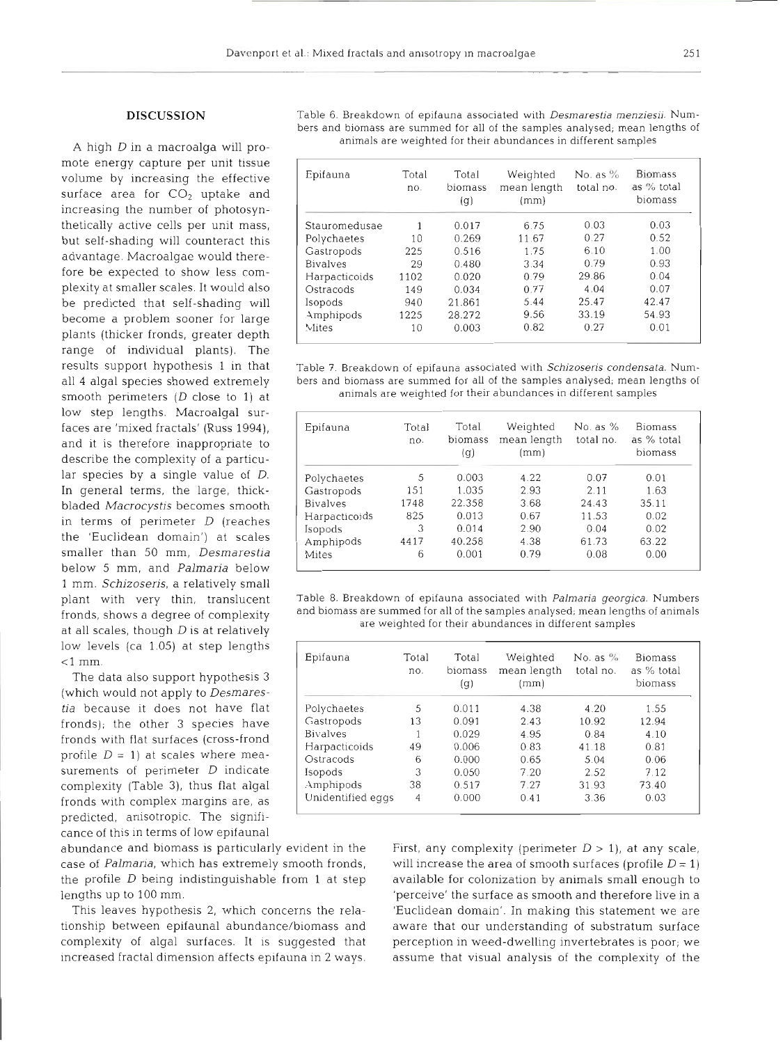### **DISCUSSION**

A high *D* in a macroalga will promote energy capture per unit tissue volume by increasing the effective surface area for  $CO<sub>2</sub>$  uptake and increasing the number of photosynthetically active cells per unit mass, but self-shading will counteract this advantage. Macroalgae would therefore be expected to show less complexity at smaller scales. It would also be predicted that self-shading will become a problem sooner for large plants (thicker fronds, greater depth range of individual plants). The results support hypothesis **1** in that all **4** algal species showed extremely smooth perimeters  $(D \text{ close to } 1)$  at low step lengths. Macroalgal surfaces are 'mixed fractals' (Russ 1994), and it is therefore inappropriate to describe the complexity of a particular species by a single value of D. In general terms, the large, thickbladed *Macrocystis* becomes smooth in terms of perimeter *D* (reaches the 'Euclidean domain') at scales smaller than 50 mm, *Desmarestia* below 5 mm, and *Palmaria* below 1 mm. *Schizoseris,* a relatively small plant with very thin, translucent fronds, shows a degree of complexity at all scales, though *D* is at relatively low levels (ca 1.05) at step lengths <l mm.

The data also support hypothesis 3 (which would not apply to *Desmares*tia because it does not have flat fronds); the other 3 species have surements of perimeter  $D$  indicate fronds with flat surfaces (cross-frond profile  $D = 1$ ) at scales where meacomplexity (Table **3),** thus flat algal fronds with complex margins are, as predicted, anisotropic. The significance of this in terms of low epifaunal

abundance and biomass is particularly evident in the case of *Palmaria,* which has extremely smooth fronds, the profile  $D$  being indistinguishable from 1 at step lengths up to 100 mm.

This leaves hypothesis 2, which concerns the relationship between epifaunal abundance/biomass and complexity of algal surfaces. It is suggested that increased fractal dimension affects epifauna in 2 ways.

| Epifauna        | Total<br>no. | Total<br>biomass<br>(g) | Weighted<br>mean length<br>(mm) | No. as $\%$<br>total no. | <b>Biomass</b><br>as % total<br>biomass |
|-----------------|--------------|-------------------------|---------------------------------|--------------------------|-----------------------------------------|
| Stauromedusae   | 1            | 0.017                   | 6.75                            | 0.03                     | 0.03                                    |
| Polychaetes     | 10           | 0.269                   | 11.67                           | 0.27                     | 0.52                                    |
| Gastropods      | 225          | 0.516                   | 1.75                            | 6.10                     | 1.00                                    |
| <b>Bivalves</b> | 29           | 0.480                   | 3.34                            | 0.79                     | 0.93                                    |
| Harpacticoids   | 1102         | 0.020                   | 0.79                            | 29.86                    | 0.04                                    |
| Ostracods       | 149          | 0.034                   | 0.77                            | 4.04                     | 0.07                                    |
| Isopods         | 940          | 21.861                  | 5.44                            | 25.47                    | 42.47                                   |
| Amphipods       | 1225         | 28.272                  | 9.56                            | 33.19                    | 54.93                                   |
| Mites           | 10           | 0.003                   | 0.82                            | 0.27                     | 0.01                                    |

| Epifauna        | Total<br>no. | Total<br>biomass<br>(q) | Weighted<br>mean length<br>(mm) | No. as $%$<br>total no. | <b>Biomass</b><br>as % total<br>biomass |
|-----------------|--------------|-------------------------|---------------------------------|-------------------------|-----------------------------------------|
| Polychaetes     | 5            | 0.003                   | 4.22                            | 0.07                    | 0.01                                    |
| Gastropods      | 151          | 1.035                   | 2.93                            | 2.11                    | 1.63                                    |
| <b>Bivalves</b> | 1748         | 22.358                  | 3.68                            | 24.43                   | 35.11                                   |
| Harpacticoids   | 825          | 0.013                   | 0.67                            | 11.53                   | 0.02                                    |
| Isopods         | 3            | 0.014                   | 2.90                            | 0.04                    | 0.02                                    |
| Amphipods       | 4417         | 40.258                  | 4.38                            | 61.73                   | 63.22                                   |
| Mites           | 6            | 0.001                   | 0.79                            | 0.08                    | 0.00                                    |

Table 8. Breakdown of epifauna associated with *Palmaria georgica*. Numbers<br>and biomass are summed for all of the samples analysed; mean lengths of animals<br>are weighted for their abundances in different samples

| Epifauna          | Total<br>no. | Total<br>biomass<br>(g) | Weighted<br>mean length<br>(mm) | No. as $%$<br>total no. | <b>Biomass</b><br>as % total<br>biomass |
|-------------------|--------------|-------------------------|---------------------------------|-------------------------|-----------------------------------------|
| Polychaetes       | 5            | 0.011                   | 4.38                            | 4.20                    | 1.55                                    |
| Gastropods        | 13           | 0.091                   | 2.43                            | 10.92                   | 12.94                                   |
| <b>Bivalves</b>   |              | 0.029                   | 4.95                            | 0.84                    | 4.10                                    |
| Harpacticoids     | 49           | 0.006                   | 0.83                            | 41.18                   | 0.81                                    |
| Ostracods         | 6            | 0.000                   | 0.65                            | 5.04                    | 0.06                                    |
| Isopods           | 3            | 0.050                   | 7.20                            | 2.52                    | 7.12                                    |
| Amphipods         | 38           | 0.517                   | 7.27                            | 31.93                   | 73.40                                   |
| Unidentified eggs | 4            | 0.000                   | 0.41                            | 3.36                    | 0.03                                    |

First, any complexity (perimeter  $D > 1$ ), at any scale, will increase the area of smooth surfaces (profile  $D = 1$ ) available for colonization by animals small enough to 'perceive' the surface as smooth and therefore live in a 'Euclidean domain'. In making this statement we are aware that our understanding of substratum surface perception in weed-dwelling invertebrates is poor; we assume that visual analysis of the complexity of the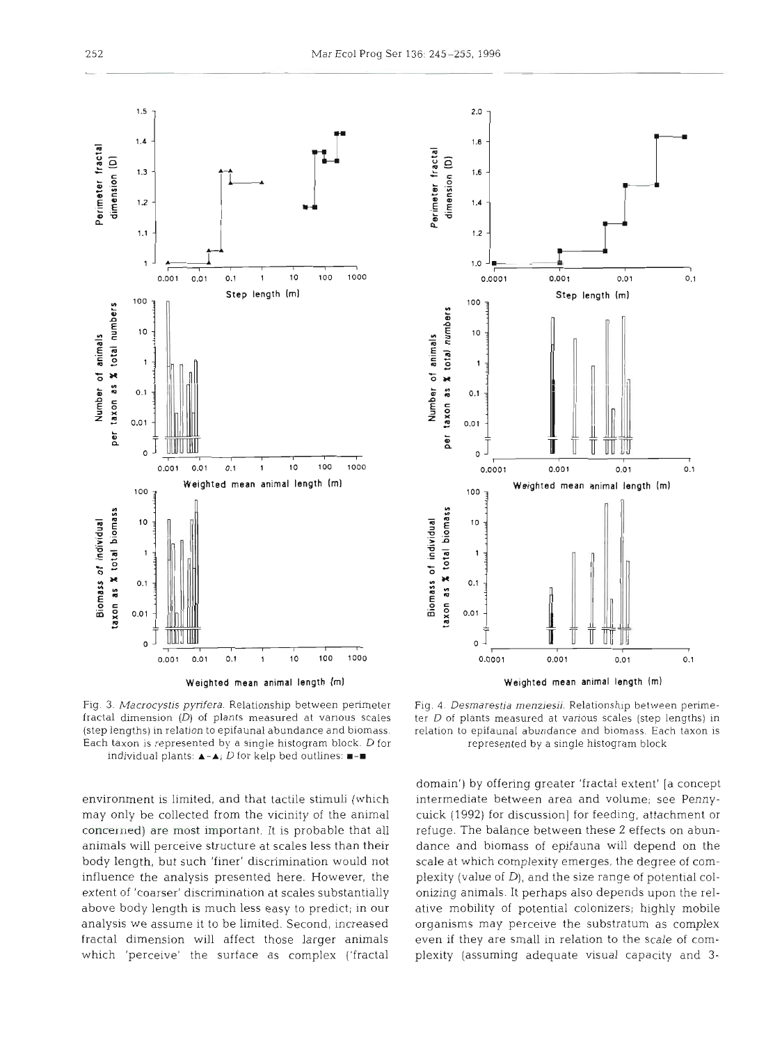



Fig. **3.** Macrocystis pyrifera. Relationship between perimeter fractal dimension (D) of plants measured at vanous scales (step lengths) in relation to epifaunal abundance and biomass. Each taxon is represented by a single histogram block. D for individual plants: A-A; **D** for kelp bed outlines: **=-m** 

environment is limited, and that tactile stimuli (which may only be collected from the vicinity of the animal concerned) are most important. It is probable that all animals will perceive structure at scales less than their body length, but such 'finer' discrimination would not influence the analysis presented here. However, the extent of 'coarser' discrimination at scales substantially above body length is much less easy to predict; in our analysis we assume it to be limited. Second, increased fractal dimension will affect those larger animals which 'perceive' the surface as complex ('fractal

Fig. 4. Desmarestia menziesii. Relationship between perimeter D of plants measured at various scales (step lengths) in relation to epifaunal abundance and biomass. Each taxon is represented by a single histogram block

domain') by offering greater 'fractal extent' [a concept intermediate between area and volume; see Pennycuick (1992) for discussion] for feeding, attachment or refuge. The balance between these 2 effects on abundance and biomass of epifauna will depend on the scale at which complexity emerges, the degree of complexity (value of D), and the size range of potential colonizing animals. It perhaps also depends upon the relative mobility of potential colonizers; highly mobile organisms may perceive the substratum as complex even if they are small in relation to the scale of complexity (assuming adequate visual capacity and *3-*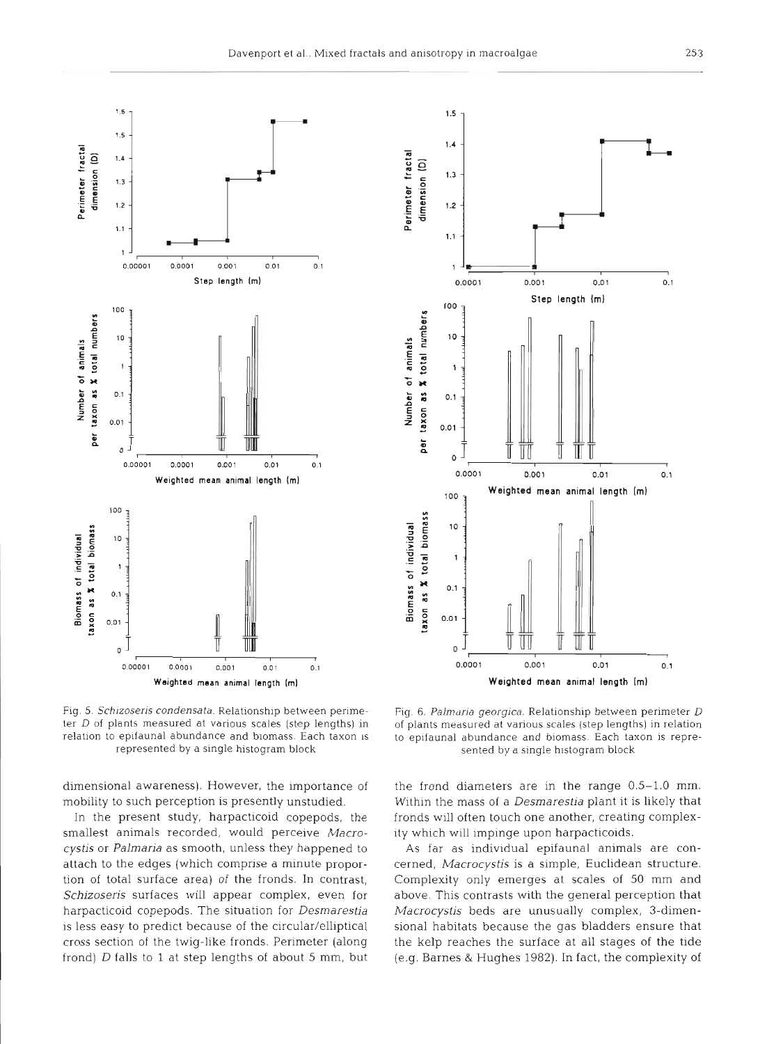

Fig. 5. Schizoseris condensata. Relationship between perime- Fig. 6. Palmaria georgica. Relationship between perimeter D

dimensional awareness). However, the importance of mobility to such perception is presently unstudied.

In the present study, harpacticoid copepods, the smallest animals recorded, would perceive *Macrocystis* or *Palmaria* as smooth, unless they happened to attach to the edges (which comprise a minute proportion of total surface area) of the fronds. In contrast, *Schizoseris* surfaces will appear complex, even for harpacticoid copepods. The situation for *Desmarestia* is less easy to predict because of the circular/elliptical cross section of the twig-like fronds. Perimeter (along frond) *D* falls to *1* at step lengths of about 5 mm, but



ter D of plants measured at various scales (step lengths) in of plants measured at various scales (step lengths) in relation<br>relation to epifaunal abundance and biomass. Each taxon is to epifaunal abundance and biomass. Ea epifaunal abundance and biomass. Each taxon is to epifaunal abundance and biomass. Each taxon is repre-<br>represented by a single histogram block sented by a single histogram block

the frond diameters are in the range 0.5-1.0 mm. Within the mass of a *Desmarestia* plant it is likely that fronds will often touch one another, creating complexity which will impinge upon harpacticoids.

As far as individual epifaunal animals are concerned, *Macrocystis* is a simple, Euclidean structure. Complexity only emerges at scales of 50 mm and above. This contrasts with the general perception that *Macrocystis* beds are unusually complex, 3-dimensional habitats because the gas bladders ensure that the kelp reaches the surface at all stages of the tide (e.g. Barnes & Hughes 1982). In fact, the complexity of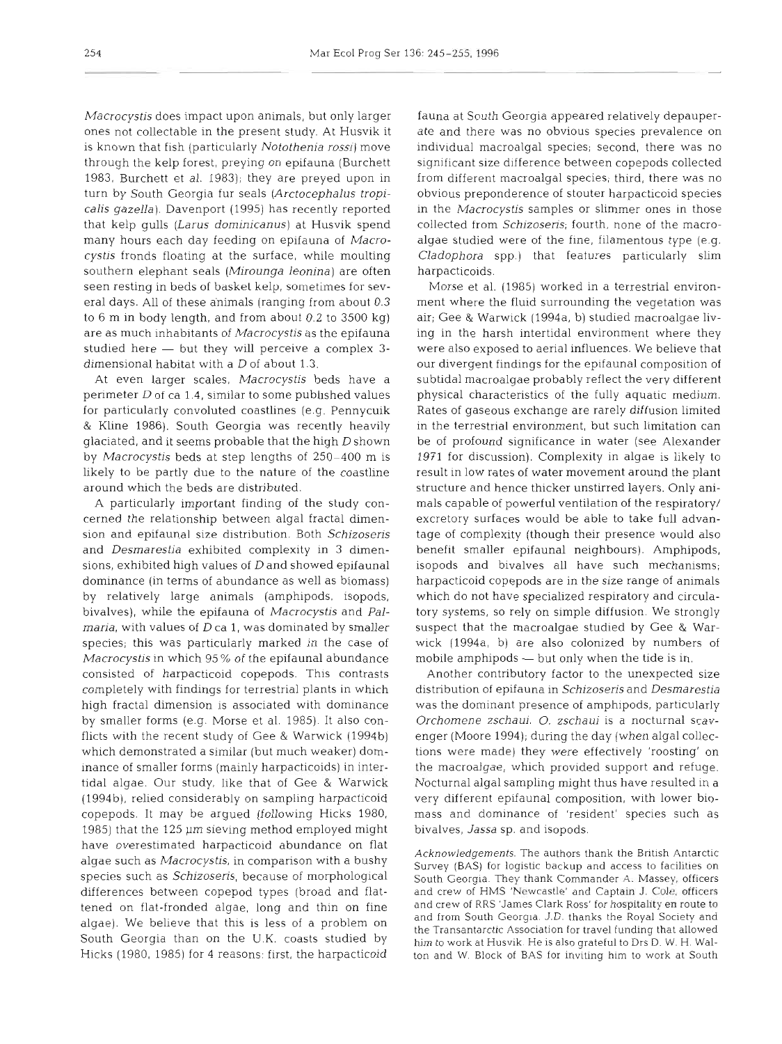Macrocystis does impact upon animals, but only larger ones not collectable in the present study. At Husvik it is known that fish (particularly Notothenia rossi) move through the kelp forest, preying on epifauna (Burchett 1983, Burchett et al. 1983); they are preyed upon in turn by South Georgia fur seals (Arctocephalus tropicalis gazella). Davenport (1995) has recently reported that kelp gulls (Larus dominicanus) at Husvik spend many hours each day feeding on epifauna of Macrocystis fronds floating at the surface, while moulting southern elephant seals (Mirounga leonina) are often seen resting in beds of baskel kelp, sometimes for several days. All of these animals (ranging from about 0.3 to 6 m in body length, and from about 0.2 to 3500 kg) are as much inhabitants of Macrocystis as the epifauna studied here — but they will perceive a complex 3dimensional habitat with a D of about 1.3.

At even larger scales, Macrocystis beds have a perimeter  $D$  of ca 1.4, similar to some published values for particularly convoluted coastlines (e.g. Pennycuik & Kline 1986). South Georgia was recently heavily glaciated, and it seems probable that the high D shown by Macrocystis beds at step lengths of 250-400 m is likely to be partly due to the nature of the coastline around which the beds are distributed.

**A** particularly important finding of the study concerned the relationship between algal fractal dimension and epifaunal size distribution. Both Schizoseris and Desmarestia exhibited complexity in **3** dimensions, exhibited high values of D and showed epifaunal dominance (in terms of abundance as well as biomass) by relatively large animals (amphipods, isopods, bivalves), while the epifauna of Macrocystis and Pal*maria*, with values of  $D$  ca 1, was dominated by smaller species; this was particularly marked in the case of Macrocystis in which 95% of the epifaunal abundance consisted of harpacticoid copepods. This contrasts completely with findings for terrestrial plants in which high fractal dimension is associated with dominance by smaller forms (e.g. Morse et al. 1985). It also conflicts with the recent study of Gee & Warwick (1994b) which demonstrated a similar (but much weaker) dominance of smaller forms (mainly harpacticoids) in intertidal algae. Our study, like that of Gee & Warwick (1994b), relied considerably on sampling harpacticoid copepods. It may be argued (following Hicks 1980, 1985) that the 125 µm sieving method employed might have overestimated harpacticoid abundance on flat algae such as Macrocystis, in comparison with a bushy species such as Schizoseris, because of morphological differences between copepod types (broad and flattened on flat-fronded algae, long and thin on fine algae). We believe that this is less of a problem on South Georgia than on the U.K. coasts studied by Hicks (1980, 1985) for 4 reasons: flrst, the harpacticoid

fauna at South Georgia appeared relatively depauperate and there was no obvious species prevalence on individual macroalgal species; second, there was no significant size difference between copepods collected from different macroalgal species; third, there was no obvious preponderence of stouter harpacticoid species in the Macrocystis samples or slimmer ones in those collected from Schizosens; fourth, none of the macroalgae studied were of the fine, filamentous type (e.g. Cladophora spp.) that features particularly slim harpacticoids.

Morse et al. (1985) worked in a terrestrial environment where the fluid surrounding the vegetation was air; Gee & Warwick (1994a, b) studied macroalgae living in the harsh intertidal environment where they were also exposed to aerial influences. We believe that our divergent findings for the epifaunal composition of subtidal macroalgae probably reflect the very different physical characteristics of the fully aquatic medium. Rates of gaseous exchange are rarely diffusion limited in the terrestrial environment, but such limitation can be of profound significance in water (see Alexander 1971 for discussion). Complexity in algae is likely to result in low rates of water movement around the plant structure and hence thicker unstirred layers. Only animals capable of powerful ventilation of the respiratory/ excretory surfaces would be able to take full advantage of complexity (though their presence would also benefit smaller epifaunal neighbours). Amphipods, isopods and bivalves all have such mechanisms; harpacticoid copepods are in the size range of animals which do not have specialized respiratory and circulatory systems, so rely on simple diffusion. We strongly suspect that the macroalgae studied by Gee & Warwick (1994a, b) are also colonized by numbers of mobile amphipods  $-$  but only when the tide is in.

Another contributory factor to the unexpected size distribution of epifauna in Schizoseris and Desmarestia was the dominant presence of amphipods, particularly Orchornene zschaui. 0. zschaui is a nocturnal scavenger (Moore 1994); during the day (when algal collections were made) they were effectively 'roosting' on the macroalgae, which provided support and refuge. Nocturnal algal sampling might thus have resulted in a very different epifaunal composition, with lower biomass and dominance of 'resident' species such as bivalves, Jassa sp. and isopods.

Acknowledgements. The authors thank the British Antarctic Survey (BAS) for logistic backup and access to facilities on South Georgia. They thank Commander A. Massey, officers and crew of HMS 'Newcastle' and Captain J. Cole, officers and crew of RRS 'James Clark Ross' for hospitality en route to and from South Georgia. J.D. thanks the Royal Society and the Transantarctic Association for travel funding that allowed him to work at Husvik. He is also grateful to Drs D. W. H. Walton and W. Block of BAS for inviting him to work at South